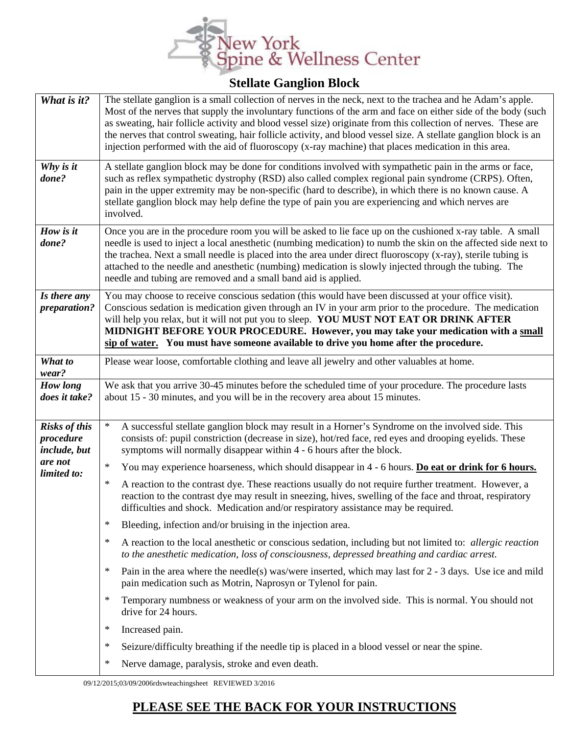

| What is it?                                       | The stellate ganglion is a small collection of nerves in the neck, next to the trachea and he Adam's apple.<br>Most of the nerves that supply the involuntary functions of the arm and face on either side of the body (such<br>as sweating, hair follicle activity and blood vessel size) originate from this collection of nerves. These are<br>the nerves that control sweating, hair follicle activity, and blood vessel size. A stellate ganglion block is an<br>injection performed with the aid of fluoroscopy (x-ray machine) that places medication in this area. |  |
|---------------------------------------------------|----------------------------------------------------------------------------------------------------------------------------------------------------------------------------------------------------------------------------------------------------------------------------------------------------------------------------------------------------------------------------------------------------------------------------------------------------------------------------------------------------------------------------------------------------------------------------|--|
| Why is it<br>done?                                | A stellate ganglion block may be done for conditions involved with sympathetic pain in the arms or face,<br>such as reflex sympathetic dystrophy (RSD) also called complex regional pain syndrome (CRPS). Often,<br>pain in the upper extremity may be non-specific (hard to describe), in which there is no known cause. A<br>stellate ganglion block may help define the type of pain you are experiencing and which nerves are<br>involved.                                                                                                                             |  |
| How is it<br>done?                                | Once you are in the procedure room you will be asked to lie face up on the cushioned x-ray table. A small<br>needle is used to inject a local anesthetic (numbing medication) to numb the skin on the affected side next to<br>the trachea. Next a small needle is placed into the area under direct fluoroscopy (x-ray), sterile tubing is<br>attached to the needle and anesthetic (numbing) medication is slowly injected through the tubing. The<br>needle and tubing are removed and a small band aid is applied.                                                     |  |
| Is there any<br>preparation?                      | You may choose to receive conscious sedation (this would have been discussed at your office visit).<br>Conscious sedation is medication given through an IV in your arm prior to the procedure. The medication<br>will help you relax, but it will not put you to sleep. YOU MUST NOT EAT OR DRINK AFTER<br>MIDNIGHT BEFORE YOUR PROCEDURE. However, you may take your medication with a small<br>sip of water. You must have someone available to drive you home after the procedure.                                                                                     |  |
| What to<br>wear?                                  | Please wear loose, comfortable clothing and leave all jewelry and other valuables at home.                                                                                                                                                                                                                                                                                                                                                                                                                                                                                 |  |
| How long<br>does it take?                         | We ask that you arrive 30-45 minutes before the scheduled time of your procedure. The procedure lasts<br>about 15 - 30 minutes, and you will be in the recovery area about 15 minutes.                                                                                                                                                                                                                                                                                                                                                                                     |  |
| <b>Risks of this</b><br>procedure<br>include, but | $\ast$<br>A successful stellate ganglion block may result in a Horner's Syndrome on the involved side. This<br>consists of: pupil constriction (decrease in size), hot/red face, red eyes and drooping eyelids. These<br>symptoms will normally disappear within 4 - 6 hours after the block.                                                                                                                                                                                                                                                                              |  |
| are not<br>limited to:                            | $\ast$<br>You may experience hoarseness, which should disappear in 4 - 6 hours. Do eat or drink for 6 hours.                                                                                                                                                                                                                                                                                                                                                                                                                                                               |  |
|                                                   | $\ast$<br>A reaction to the contrast dye. These reactions usually do not require further treatment. However, a<br>reaction to the contrast dye may result in sneezing, hives, swelling of the face and throat, respiratory<br>difficulties and shock. Medication and/or respiratory assistance may be required.                                                                                                                                                                                                                                                            |  |
|                                                   | ∗<br>Bleeding, infection and/or bruising in the injection area.                                                                                                                                                                                                                                                                                                                                                                                                                                                                                                            |  |
|                                                   | $\ast$<br>A reaction to the local anesthetic or conscious sedation, including but not limited to: <i>allergic reaction</i><br>to the anesthetic medication, loss of consciousness, depressed breathing and cardiac arrest.                                                                                                                                                                                                                                                                                                                                                 |  |
|                                                   | $\ast$<br>Pain in the area where the needle(s) was/were inserted, which may last for $2 - 3$ days. Use ice and mild<br>pain medication such as Motrin, Naprosyn or Tylenol for pain.                                                                                                                                                                                                                                                                                                                                                                                       |  |
|                                                   | $\ast$<br>Temporary numbness or weakness of your arm on the involved side. This is normal. You should not<br>drive for 24 hours.                                                                                                                                                                                                                                                                                                                                                                                                                                           |  |
|                                                   | $\ast$<br>Increased pain.                                                                                                                                                                                                                                                                                                                                                                                                                                                                                                                                                  |  |
|                                                   | $\ast$<br>Seizure/difficulty breathing if the needle tip is placed in a blood vessel or near the spine.                                                                                                                                                                                                                                                                                                                                                                                                                                                                    |  |
|                                                   | $\ast$<br>Nerve damage, paralysis, stroke and even death.                                                                                                                                                                                                                                                                                                                                                                                                                                                                                                                  |  |

09/12/2015;03/09/2006rdswteachingsheet REVIEWED 3/2016

## **PLEASE SEE THE BACK FOR YOUR INSTRUCTIONS**